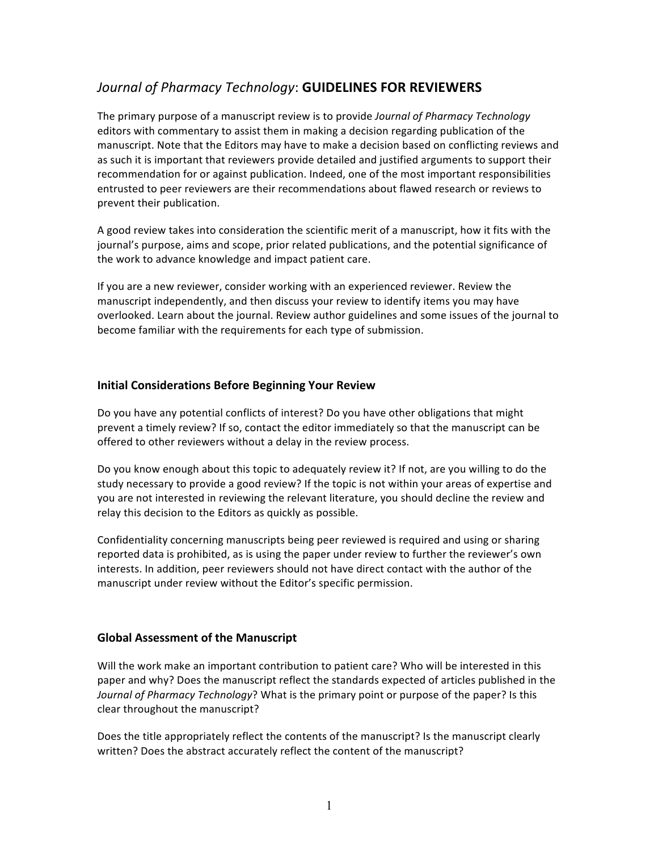# Journal of Pharmacy Technology: **GUIDELINES FOR REVIEWERS**

The primary purpose of a manuscript review is to provide *Journal of Pharmacy Technology* editors with commentary to assist them in making a decision regarding publication of the manuscript. Note that the Editors may have to make a decision based on conflicting reviews and as such it is important that reviewers provide detailed and justified arguments to support their recommendation for or against publication. Indeed, one of the most important responsibilities entrusted to peer reviewers are their recommendations about flawed research or reviews to prevent their publication.

A good review takes into consideration the scientific merit of a manuscript, how it fits with the journal's purpose, aims and scope, prior related publications, and the potential significance of the work to advance knowledge and impact patient care.

If you are a new reviewer, consider working with an experienced reviewer. Review the manuscript independently, and then discuss your review to identify items you may have overlooked. Learn about the journal. Review author guidelines and some issues of the journal to become familiar with the requirements for each type of submission.

## **Initial Considerations Before Beginning Your Review**

Do you have any potential conflicts of interest? Do you have other obligations that might prevent a timely review? If so, contact the editor immediately so that the manuscript can be offered to other reviewers without a delay in the review process.

Do you know enough about this topic to adequately review it? If not, are you willing to do the study necessary to provide a good review? If the topic is not within your areas of expertise and you are not interested in reviewing the relevant literature, you should decline the review and relay this decision to the Editors as quickly as possible.

Confidentiality concerning manuscripts being peer reviewed is required and using or sharing reported data is prohibited, as is using the paper under review to further the reviewer's own interests. In addition, peer reviewers should not have direct contact with the author of the manuscript under review without the Editor's specific permission.

## **Global Assessment of the Manuscript**

Will the work make an important contribution to patient care? Who will be interested in this paper and why? Does the manuscript reflect the standards expected of articles published in the *Journal of Pharmacy Technology*? What is the primary point or purpose of the paper? Is this clear throughout the manuscript?

Does the title appropriately reflect the contents of the manuscript? Is the manuscript clearly written? Does the abstract accurately reflect the content of the manuscript?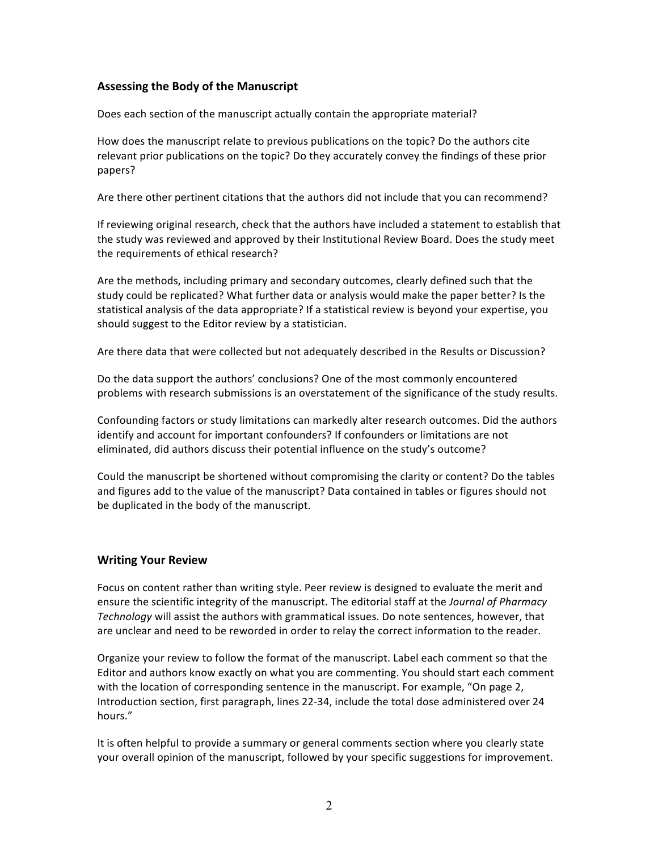## **Assessing the Body of the Manuscript**

Does each section of the manuscript actually contain the appropriate material?

How does the manuscript relate to previous publications on the topic? Do the authors cite relevant prior publications on the topic? Do they accurately convey the findings of these prior papers?

Are there other pertinent citations that the authors did not include that you can recommend?

If reviewing original research, check that the authors have included a statement to establish that the study was reviewed and approved by their Institutional Review Board. Does the study meet the requirements of ethical research?

Are the methods, including primary and secondary outcomes, clearly defined such that the study could be replicated? What further data or analysis would make the paper better? Is the statistical analysis of the data appropriate? If a statistical review is beyond your expertise, you should suggest to the Editor review by a statistician.

Are there data that were collected but not adequately described in the Results or Discussion?

Do the data support the authors' conclusions? One of the most commonly encountered problems with research submissions is an overstatement of the significance of the study results.

Confounding factors or study limitations can markedly alter research outcomes. Did the authors identify and account for important confounders? If confounders or limitations are not eliminated, did authors discuss their potential influence on the study's outcome?

Could the manuscript be shortened without compromising the clarity or content? Do the tables and figures add to the value of the manuscript? Data contained in tables or figures should not be duplicated in the body of the manuscript.

## **Writing Your Review**

Focus on content rather than writing style. Peer review is designed to evaluate the merit and ensure the scientific integrity of the manuscript. The editorial staff at the *Journal of Pharmacy Technology* will assist the authors with grammatical issues. Do note sentences, however, that are unclear and need to be reworded in order to relay the correct information to the reader.

Organize your review to follow the format of the manuscript. Label each comment so that the Editor and authors know exactly on what you are commenting. You should start each comment with the location of corresponding sentence in the manuscript. For example, "On page 2, Introduction section, first paragraph, lines 22-34, include the total dose administered over 24 hours."

It is often helpful to provide a summary or general comments section where you clearly state your overall opinion of the manuscript, followed by your specific suggestions for improvement.